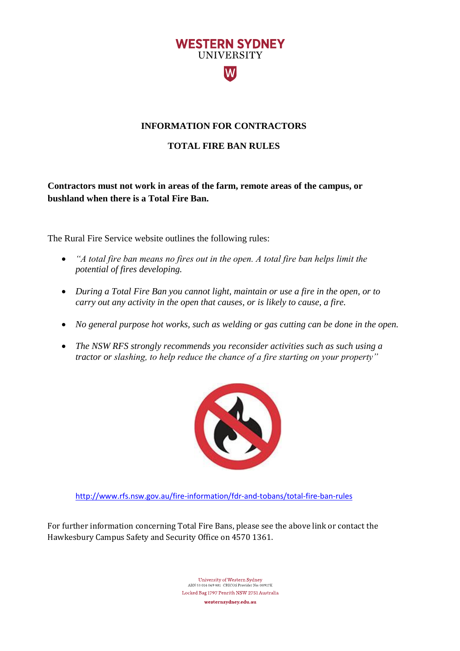

## **INFORMATION FOR CONTRACTORS**

## **TOTAL FIRE BAN RULES**

**Contractors must not work in areas of the farm, remote areas of the campus, or bushland when there is a Total Fire Ban.** 

The Rural Fire Service website outlines the following rules:

- *"A total fire ban means no fires out in the open. A total fire ban helps limit the potential of fires developing.*
- *During a Total Fire Ban you cannot light, maintain or use a fire in the open, or to carry out any activity in the open that causes, or is likely to cause, a fire.*
- *No general purpose hot works, such as welding or gas cutting can be done in the open.*
- *The NSW RFS strongly recommends you reconsider activities such as such using a tractor or slashing, to help reduce the chance of a fire starting on your property"*



<http://www.rfs.nsw.gov.au/fire-information/fdr-and-tobans/total-fire-ban-rules>

For further information concerning Total Fire Bans, please see the above link or contact the Hawkesbury Campus Safety and Security Office on 4570 1361.

> University of Western Sydney ABN 53 014 069 881 CRICOS Provider No: 00917K Locked Bag 1797 Penrith NSW 2751 Australia westernsydney.edu.au